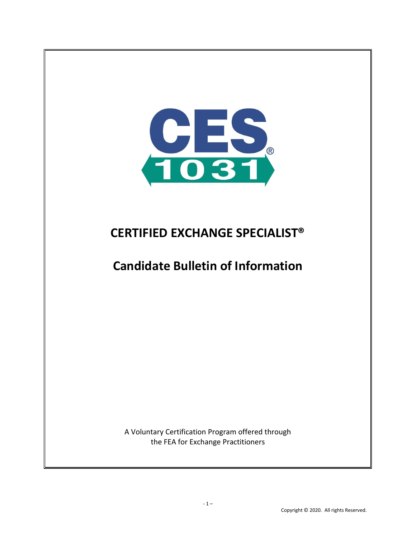

# **CERTIFIED EXCHANGE SPECIALIST®**

# **Candidate Bulletin of Information**

A Voluntary Certification Program offered through the FEA for Exchange Practitioners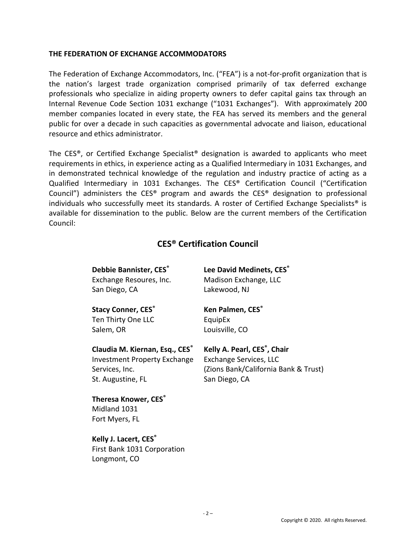## **THE FEDERATION OF EXCHANGE ACCOMMODATORS**

The Federation of Exchange Accommodators, Inc. ("FEA") is a not-for-profit organization that is the nation's largest trade organization comprised primarily of tax deferred exchange professionals who specialize in aiding property owners to defer capital gains tax through an Internal Revenue Code Section 1031 exchange ("1031 Exchanges"). With approximately 200 member companies located in every state, the FEA has served its members and the general public for over a decade in such capacities as governmental advocate and liaison, educational resource and ethics administrator.

The CES®, or Certified Exchange Specialist® designation is awarded to applicants who meet requirements in ethics, in experience acting as a Qualified Intermediary in 1031 Exchanges, and in demonstrated technical knowledge of the regulation and industry practice of acting as a Qualified Intermediary in 1031 Exchanges. The CES® Certification Council ("Certification Council") administers the CES® program and awards the CES® designation to professional individuals who successfully meet its standards. A roster of Certified Exchange Specialists® is available for dissemination to the public. Below are the current members of the Certification Council:

## **CES® Certification Council**

**Debbie Bannister, CES®** Exchange Resoures, Inc.

San Diego, CA

**Stacy Conner, CES®** Ten Thirty One LLC Salem, OR

Lakewood, NJ **Ken Palmen, CES®**

**Lee David Medinets, CES®** Madison Exchange, LLC

EquipEx Louisville, CO

**Claudia M. Kiernan, Esq., CES®** Investment Property Exchange Services, Inc. St. Augustine, FL

**Kelly A. Pearl, CES® , Chair**

Exchange Services, LLC (Zions Bank/California Bank & Trust) San Diego, CA

**Theresa Knower, CES®** Midland 1031 Fort Myers, FL

**Kelly J. Lacert, CES®** First Bank 1031 Corporation Longmont, CO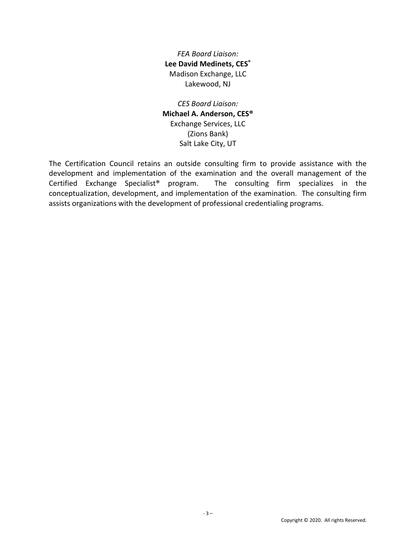*FEA Board Liaison:* **Lee David Medinets, CES®** Madison Exchange, LLC Lakewood, NJ

*CES Board Liaison:* **Michael A. Anderson, CES®** Exchange Services, LLC (Zions Bank) Salt Lake City, UT

The Certification Council retains an outside consulting firm to provide assistance with the development and implementation of the examination and the overall management of the Certified Exchange Specialist® program. The consulting firm specializes in the conceptualization, development, and implementation of the examination. The consulting firm assists organizations with the development of professional credentialing programs.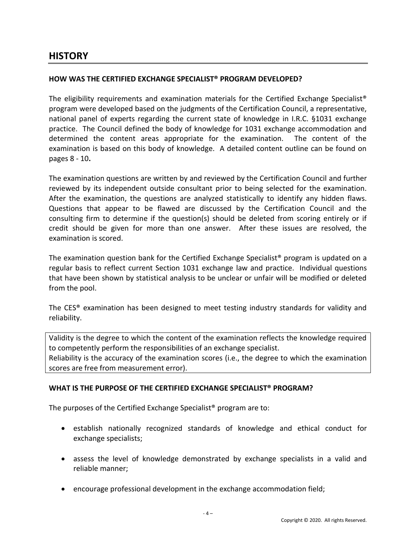# **HISTORY**

## **HOW WAS THE CERTIFIED EXCHANGE SPECIALIST® PROGRAM DEVELOPED?**

The eligibility requirements and examination materials for the Certified Exchange Specialist® program were developed based on the judgments of the Certification Council, a representative, national panel of experts regarding the current state of knowledge in I.R.C. §1031 exchange practice. The Council defined the body of knowledge for 1031 exchange accommodation and determined the content areas appropriate for the examination. The content of the examination is based on this body of knowledge. A detailed content outline can be found on pages 8 - 10**.**

The examination questions are written by and reviewed by the Certification Council and further reviewed by its independent outside consultant prior to being selected for the examination. After the examination, the questions are analyzed statistically to identify any hidden flaws. Questions that appear to be flawed are discussed by the Certification Council and the consulting firm to determine if the question(s) should be deleted from scoring entirely or if credit should be given for more than one answer. After these issues are resolved, the examination is scored.

The examination question bank for the Certified Exchange Specialist® program is updated on a regular basis to reflect current Section 1031 exchange law and practice. Individual questions that have been shown by statistical analysis to be unclear or unfair will be modified or deleted from the pool.

The CES® examination has been designed to meet testing industry standards for validity and reliability.

Validity is the degree to which the content of the examination reflects the knowledge required to competently perform the responsibilities of an exchange specialist. Reliability is the accuracy of the examination scores (i.e., the degree to which the examination

scores are free from measurement error).

## **WHAT IS THE PURPOSE OF THE CERTIFIED EXCHANGE SPECIALIST® PROGRAM?**

The purposes of the Certified Exchange Specialist® program are to:

- establish nationally recognized standards of knowledge and ethical conduct for exchange specialists;
- assess the level of knowledge demonstrated by exchange specialists in a valid and reliable manner;
- encourage professional development in the exchange accommodation field;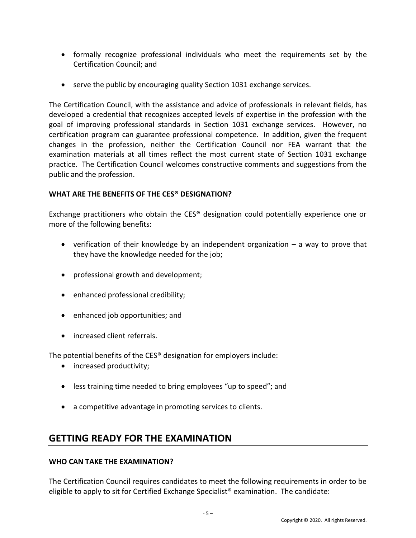- formally recognize professional individuals who meet the requirements set by the Certification Council; and
- serve the public by encouraging quality Section 1031 exchange services.

The Certification Council, with the assistance and advice of professionals in relevant fields, has developed a credential that recognizes accepted levels of expertise in the profession with the goal of improving professional standards in Section 1031 exchange services. However, no certification program can guarantee professional competence. In addition, given the frequent changes in the profession, neither the Certification Council nor FEA warrant that the examination materials at all times reflect the most current state of Section 1031 exchange practice. The Certification Council welcomes constructive comments and suggestions from the public and the profession.

## **WHAT ARE THE BENEFITS OF THE CES® DESIGNATION?**

Exchange practitioners who obtain the CES® designation could potentially experience one or more of the following benefits:

- verification of their knowledge by an independent organization  $-$  a way to prove that they have the knowledge needed for the job;
- professional growth and development;
- enhanced professional credibility;
- enhanced job opportunities; and
- increased client referrals.

The potential benefits of the CES® designation for employers include:

- increased productivity;
- less training time needed to bring employees "up to speed"; and
- a competitive advantage in promoting services to clients.

# **GETTING READY FOR THE EXAMINATION**

## **WHO CAN TAKE THE EXAMINATION?**

The Certification Council requires candidates to meet the following requirements in order to be eligible to apply to sit for Certified Exchange Specialist® examination. The candidate: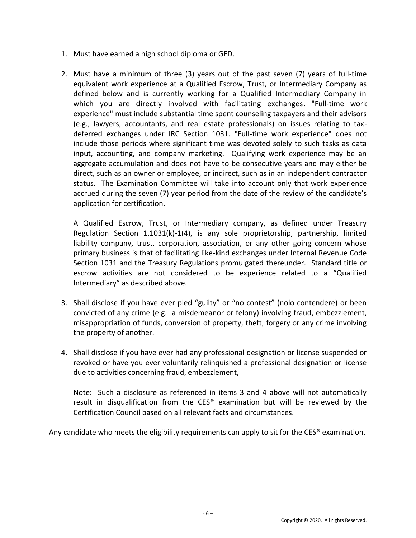- 1. Must have earned a high school diploma or GED.
- 2. Must have a minimum of three (3) years out of the past seven (7) years of full-time equivalent work experience at a Qualified Escrow, Trust, or Intermediary Company as defined below and is currently working for a Qualified Intermediary Company in which you are directly involved with facilitating exchanges. "Full-time work experience" must include substantial time spent counseling taxpayers and their advisors (e.g., lawyers, accountants, and real estate professionals) on issues relating to taxdeferred exchanges under IRC Section 1031. "Full-time work experience" does not include those periods where significant time was devoted solely to such tasks as data input, accounting, and company marketing. Qualifying work experience may be an aggregate accumulation and does not have to be consecutive years and may either be direct, such as an owner or employee, or indirect, such as in an independent contractor status. The Examination Committee will take into account only that work experience accrued during the seven (7) year period from the date of the review of the candidate's application for certification.

A Qualified Escrow, Trust, or Intermediary company, as defined under Treasury Regulation Section 1.1031(k)-1(4), is any sole proprietorship, partnership, limited liability company, trust, corporation, association, or any other going concern whose primary business is that of facilitating like-kind exchanges under Internal Revenue Code Section 1031 and the Treasury Regulations promulgated thereunder. Standard title or escrow activities are not considered to be experience related to a "Qualified Intermediary" as described above.

- 3. Shall disclose if you have ever pled "guilty" or "no contest" (nolo contendere) or been convicted of any crime (e.g. a misdemeanor or felony) involving fraud, embezzlement, misappropriation of funds, conversion of property, theft, forgery or any crime involving the property of another.
- 4. Shall disclose if you have ever had any professional designation or license suspended or revoked or have you ever voluntarily relinquished a professional designation or license due to activities concerning fraud, embezzlement,

Note: Such a disclosure as referenced in items 3 and 4 above will not automatically result in disqualification from the CES® examination but will be reviewed by the Certification Council based on all relevant facts and circumstances.

Any candidate who meets the eligibility requirements can apply to sit for the CES<sup>®</sup> examination.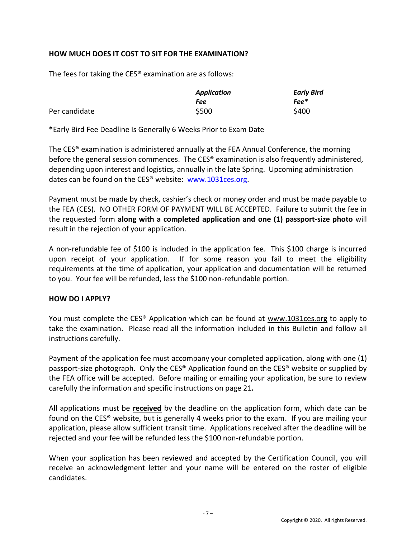## **HOW MUCH DOES IT COST TO SIT FOR THE EXAMINATION?**

The fees for taking the CES® examination are as follows:

|               | <b>Application</b> | <b>Early Bird</b> |  |
|---------------|--------------------|-------------------|--|
|               | Fee                | <b>Fee*</b>       |  |
| Per candidate | \$500              | \$400             |  |

**\***Early Bird Fee Deadline Is Generally 6 Weeks Prior to Exam Date

The CES® examination is administered annually at the FEA Annual Conference, the morning before the general session commences. The CES® examination is also frequently administered, depending upon interest and logistics, annually in the late Spring. Upcoming administration dates can be found on the CES® website: [www.1031ces.org.](http://www.1031ces.org/)

Payment must be made by check, cashier's check or money order and must be made payable to the FEA (CES). NO OTHER FORM OF PAYMENT WILL BE ACCEPTED. Failure to submit the fee in the requested form **along with a completed application and one (1) passport-size photo** will result in the rejection of your application.

A non-refundable fee of \$100 is included in the application fee. This \$100 charge is incurred upon receipt of your application. If for some reason you fail to meet the eligibility requirements at the time of application, your application and documentation will be returned to you. Your fee will be refunded, less the \$100 non-refundable portion.

## **HOW DO I APPLY?**

You must complete the CES® Application which can be found at [www.1031ces.org](http://www.1031ces.org/) to apply to take the examination. Please read all the information included in this Bulletin and follow all instructions carefully.

Payment of the application fee must accompany your completed application, along with one (1) passport-size photograph. Only the CES® Application found on the CES® website or supplied by the FEA office will be accepted. Before mailing or emailing your application, be sure to review carefully the information and specific instructions on page 21**.**

All applications must be **received** by the deadline on the application form, which date can be found on the CES® website, but is generally 4 weeks prior to the exam. If you are mailing your application, please allow sufficient transit time. Applications received after the deadline will be rejected and your fee will be refunded less the \$100 non-refundable portion.

When your application has been reviewed and accepted by the Certification Council, you will receive an acknowledgment letter and your name will be entered on the roster of eligible candidates.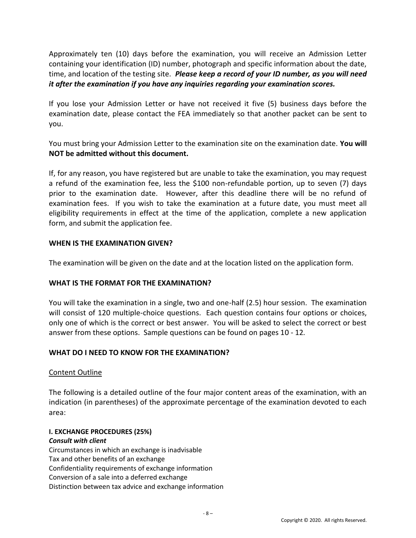Approximately ten (10) days before the examination, you will receive an Admission Letter containing your identification (ID) number, photograph and specific information about the date, time, and location of the testing site. *Please keep a record of your ID number, as you will need it after the examination if you have any inquiries regarding your examination scores.*

If you lose your Admission Letter or have not received it five (5) business days before the examination date, please contact the FEA immediately so that another packet can be sent to you.

You must bring your Admission Letter to the examination site on the examination date. **You will NOT be admitted without this document.**

If, for any reason, you have registered but are unable to take the examination, you may request a refund of the examination fee, less the \$100 non-refundable portion, up to seven (7) days prior to the examination date. However, after this deadline there will be no refund of examination fees. If you wish to take the examination at a future date, you must meet all eligibility requirements in effect at the time of the application, complete a new application form, and submit the application fee.

## **WHEN IS THE EXAMINATION GIVEN?**

The examination will be given on the date and at the location listed on the application form.

## **WHAT IS THE FORMAT FOR THE EXAMINATION?**

You will take the examination in a single, two and one-half (2.5) hour session. The examination will consist of 120 multiple-choice questions. Each question contains four options or choices, only one of which is the correct or best answer. You will be asked to select the correct or best answer from these options. Sample questions can be found on pages 10 - 12*.*

## **WHAT DO I NEED TO KNOW FOR THE EXAMINATION?**

## Content Outline

The following is a detailed outline of the four major content areas of the examination, with an indication (in parentheses) of the approximate percentage of the examination devoted to each area:

# **I. EXCHANGE PROCEDURES (25%)**

#### *Consult with client*

Circumstances in which an exchange is inadvisable Tax and other benefits of an exchange Confidentiality requirements of exchange information Conversion of a sale into a deferred exchange Distinction between tax advice and exchange information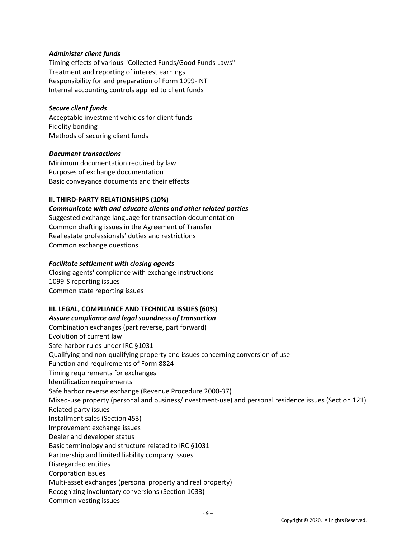#### *Administer client funds*

Timing effects of various "Collected Funds/Good Funds Laws" Treatment and reporting of interest earnings Responsibility for and preparation of Form 1099-INT Internal accounting controls applied to client funds

#### *Secure client funds*

Acceptable investment vehicles for client funds Fidelity bonding Methods of securing client funds

#### *Document transactions*

Minimum documentation required by law Purposes of exchange documentation Basic conveyance documents and their effects

#### **II. THIRD-PARTY RELATIONSHIPS (10%)**

*Communicate with and educate clients and other related parties* Suggested exchange language for transaction documentation Common drafting issues in the Agreement of Transfer Real estate professionals' duties and restrictions Common exchange questions

#### *Facilitate settlement with closing agents*

Closing agents' compliance with exchange instructions 1099-S reporting issues Common state reporting issues

#### **III. LEGAL, COMPLIANCE AND TECHNICAL ISSUES (60%)**

#### *Assure compliance and legal soundness of transaction*

Combination exchanges (part reverse, part forward) Evolution of current law Safe-harbor rules under IRC §1031 Qualifying and non-qualifying property and issues concerning conversion of use Function and requirements of Form 8824 Timing requirements for exchanges Identification requirements Safe harbor reverse exchange (Revenue Procedure 2000-37) Mixed-use property (personal and business/investment-use) and personal residence issues (Section 121) Related party issues Installment sales (Section 453) Improvement exchange issues Dealer and developer status Basic terminology and structure related to IRC §1031 Partnership and limited liability company issues Disregarded entities Corporation issues Multi-asset exchanges (personal property and real property) Recognizing involuntary conversions (Section 1033) Common vesting issues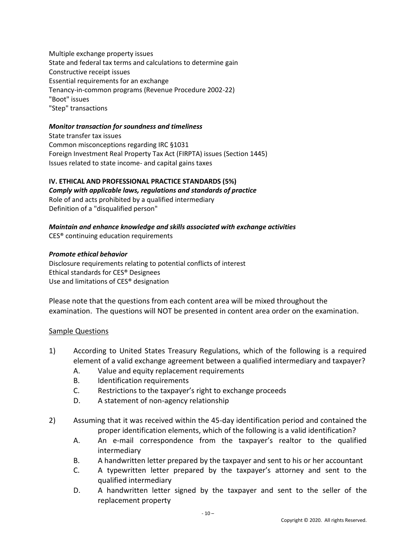Multiple exchange property issues State and federal tax terms and calculations to determine gain Constructive receipt issues Essential requirements for an exchange Tenancy-in-common programs (Revenue Procedure 2002-22) "Boot" issues "Step" transactions

#### *Monitor transaction for soundness and timeliness*

State transfer tax issues Common misconceptions regarding IRC §1031 Foreign Investment Real Property Tax Act (FIRPTA) issues (Section 1445) Issues related to state income- and capital gains taxes

#### **IV. ETHICAL AND PROFESSIONAL PRACTICE STANDARDS (5%)**

*Comply with applicable laws, regulations and standards of practice* Role of and acts prohibited by a qualified intermediary Definition of a "disqualified person"

# *Maintain and enhance knowledge and skills associated with exchange activities*

CES® continuing education requirements

#### *Promote ethical behavior*

Disclosure requirements relating to potential conflicts of interest Ethical standards for CES® Designees Use and limitations of CES® designation

Please note that the questions from each content area will be mixed throughout the examination. The questions will NOT be presented in content area order on the examination.

#### Sample Questions

- 1) According to United States Treasury Regulations, which of the following is a required element of a valid exchange agreement between a qualified intermediary and taxpayer?
	- A. Value and equity replacement requirements
	- B. Identification requirements
	- C. Restrictions to the taxpayer's right to exchange proceeds
	- D. A statement of non-agency relationship
- 2) Assuming that it was received within the 45-day identification period and contained the proper identification elements, which of the following is a valid identification?
	- A. An e-mail correspondence from the taxpayer's realtor to the qualified intermediary
	- B. A handwritten letter prepared by the taxpayer and sent to his or her accountant
	- C. A typewritten letter prepared by the taxpayer's attorney and sent to the qualified intermediary
	- D. A handwritten letter signed by the taxpayer and sent to the seller of the replacement property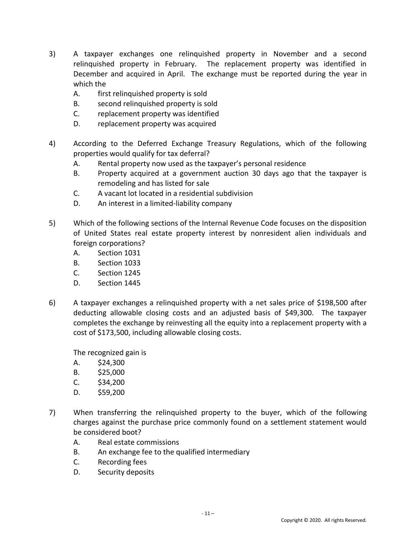- 3) A taxpayer exchanges one relinquished property in November and a second relinquished property in February. The replacement property was identified in December and acquired in April. The exchange must be reported during the year in which the
	- A. first relinquished property is sold
	- B. second relinquished property is sold
	- C. replacement property was identified
	- D. replacement property was acquired
- 4) According to the Deferred Exchange Treasury Regulations, which of the following properties would qualify for tax deferral?
	- A. Rental property now used as the taxpayer's personal residence
	- B. Property acquired at a government auction 30 days ago that the taxpayer is remodeling and has listed for sale
	- C. A vacant lot located in a residential subdivision
	- D. An interest in a limited-liability company
- 5) Which of the following sections of the Internal Revenue Code focuses on the disposition of United States real estate property interest by nonresident alien individuals and foreign corporations?
	- A. Section 1031
	- B. Section 1033
	- C. Section 1245
	- D. Section 1445
- 6) A taxpayer exchanges a relinquished property with a net sales price of \$198,500 after deducting allowable closing costs and an adjusted basis of \$49,300. The taxpayer completes the exchange by reinvesting all the equity into a replacement property with a cost of \$173,500, including allowable closing costs.

The recognized gain is

- A. \$24,300
- B. \$25,000
- $C.$  \$34,200
- D. \$59,200
- 7) When transferring the relinquished property to the buyer, which of the following charges against the purchase price commonly found on a settlement statement would be considered boot?
	- A. Real estate commissions
	- B. An exchange fee to the qualified intermediary
	- C. Recording fees
	- D. Security deposits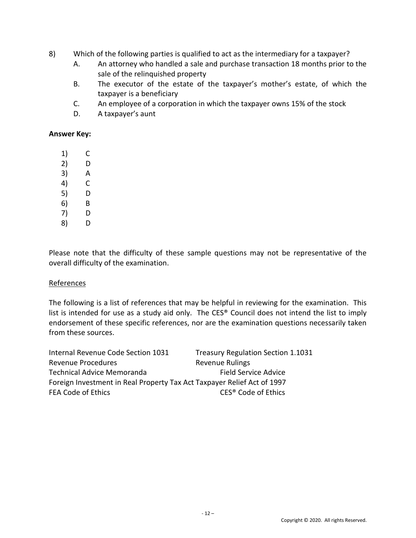- 8) Which of the following parties is qualified to act as the intermediary for a taxpayer?
	- A. An attorney who handled a sale and purchase transaction 18 months prior to the sale of the relinquished property
	- B. The executor of the estate of the taxpayer's mother's estate, of which the taxpayer is a beneficiary
	- C. An employee of a corporation in which the taxpayer owns 15% of the stock
	- D. A taxpayer's aunt

#### **Answer Key:**

- 1) C
- 2) D
- 3) A
- 4) C
- 5) D
- 6) B
- 7) D
- 8) D

Please note that the difficulty of these sample questions may not be representative of the overall difficulty of the examination.

## **References**

The following is a list of references that may be helpful in reviewing for the examination. This list is intended for use as a study aid only. The CES® Council does not intend the list to imply endorsement of these specific references, nor are the examination questions necessarily taken from these sources.

| Internal Revenue Code Section 1031                                      | <b>Treasury Regulation Section 1.1031</b> |  |  |  |
|-------------------------------------------------------------------------|-------------------------------------------|--|--|--|
| <b>Revenue Procedures</b>                                               | <b>Revenue Rulings</b>                    |  |  |  |
| <b>Technical Advice Memoranda</b>                                       | <b>Field Service Advice</b>               |  |  |  |
| Foreign Investment in Real Property Tax Act Taxpayer Relief Act of 1997 |                                           |  |  |  |
| <b>FEA Code of Ethics</b>                                               | CES <sup>®</sup> Code of Ethics           |  |  |  |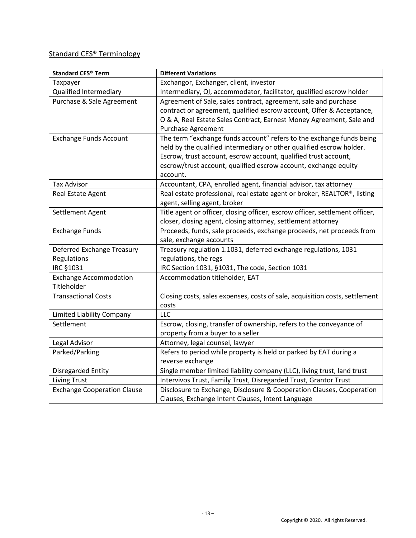## Standard CES® Terminology

| <b>Standard CES® Term</b>          | <b>Different Variations</b>                                                  |
|------------------------------------|------------------------------------------------------------------------------|
| Taxpayer                           | Exchangor, Exchanger, client, investor                                       |
| <b>Qualified Intermediary</b>      | Intermediary, QI, accommodator, facilitator, qualified escrow holder         |
| Purchase & Sale Agreement          | Agreement of Sale, sales contract, agreement, sale and purchase              |
|                                    | contract or agreement, qualified escrow account, Offer & Acceptance,         |
|                                    | O & A, Real Estate Sales Contract, Earnest Money Agreement, Sale and         |
|                                    | <b>Purchase Agreement</b>                                                    |
| <b>Exchange Funds Account</b>      | The term "exchange funds account" refers to the exchange funds being         |
|                                    | held by the qualified intermediary or other qualified escrow holder.         |
|                                    | Escrow, trust account, escrow account, qualified trust account,              |
|                                    | escrow/trust account, qualified escrow account, exchange equity              |
|                                    | account.                                                                     |
| <b>Tax Advisor</b>                 | Accountant, CPA, enrolled agent, financial advisor, tax attorney             |
| Real Estate Agent                  | Real estate professional, real estate agent or broker, REALTOR®, listing     |
|                                    | agent, selling agent, broker                                                 |
| Settlement Agent                   | Title agent or officer, closing officer, escrow officer, settlement officer, |
|                                    | closer, closing agent, closing attorney, settlement attorney                 |
| <b>Exchange Funds</b>              | Proceeds, funds, sale proceeds, exchange proceeds, net proceeds from         |
|                                    | sale, exchange accounts                                                      |
| Deferred Exchange Treasury         | Treasury regulation 1.1031, deferred exchange regulations, 1031              |
| Regulations                        | regulations, the regs                                                        |
| <b>IRC §1031</b>                   | IRC Section 1031, §1031, The code, Section 1031                              |
| <b>Exchange Accommodation</b>      | Accommodation titleholder, EAT                                               |
| Titleholder                        |                                                                              |
| <b>Transactional Costs</b>         | Closing costs, sales expenses, costs of sale, acquisition costs, settlement  |
|                                    | costs                                                                        |
| Limited Liability Company          | LLC                                                                          |
| Settlement                         | Escrow, closing, transfer of ownership, refers to the conveyance of          |
|                                    | property from a buyer to a seller                                            |
| Legal Advisor                      | Attorney, legal counsel, lawyer                                              |
| Parked/Parking                     | Refers to period while property is held or parked by EAT during a            |
|                                    | reverse exchange                                                             |
| <b>Disregarded Entity</b>          | Single member limited liability company (LLC), living trust, land trust      |
| <b>Living Trust</b>                | Intervivos Trust, Family Trust, Disregarded Trust, Grantor Trust             |
| <b>Exchange Cooperation Clause</b> | Disclosure to Exchange, Disclosure & Cooperation Clauses, Cooperation        |
|                                    | Clauses, Exchange Intent Clauses, Intent Language                            |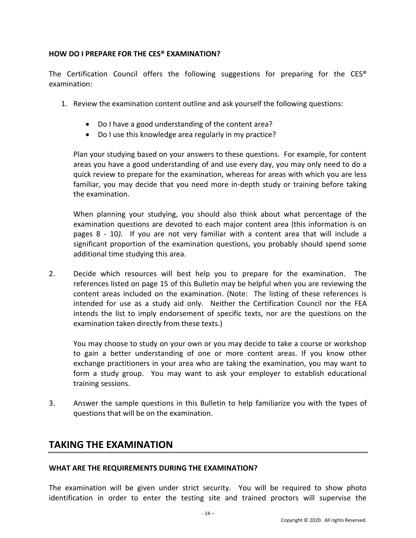## **HOW DO I PREPARE FOR THE CES® EXAMINATION?**

The Certification Council offers the following suggestions for preparing for the  $CES^{\otimes}$ examination:

- 1. Review the examination content outline and ask yourself the following questions:
	- Do I have a good understanding of the content area?
	- Do I use this knowledge area regularly in my practice?

Plan your studying based on your answers to these questions. For example, for content areas you have a good understanding of and use every day, you may only need to do a quick review to prepare for the examination, whereas for areas with which you are less familiar, you may decide that you need more in-depth study or training before taking the examination.

When planning your studying, you should also think about what percentage of the examination questions are devoted to each major content area (this information is on pages 8 - 10*).* If you are not very familiar with a content area that will include a significant proportion of the examination questions, you probably should spend some additional time studying this area.

2. Decide which resources will best help you to prepare for the examination. The references listed on page 15 of this Bulletin may be helpful when you are reviewing the content areas included on the examination. (Note: The listing of these references is intended for use as a study aid only. Neither the Certification Council nor the FEA intends the list to imply endorsement of specific texts, nor are the questions on the examination taken directly from these texts.)

You may choose to study on your own or you may decide to take a course or workshop to gain a better understanding of one or more content areas. If you know other exchange practitioners in your area who are taking the examination, you may want to form a study group. You may want to ask your employer to establish educational training sessions.

3. Answer the sample questions in this Bulletin to help familiarize you with the types of questions that will be on the examination.

# **TAKING THE EXAMINATION**

#### **WHAT ARE THE REQUIREMENTS DURING THE EXAMINATION?**

The examination will be given under strict security. You will be required to show photo identification in order to enter the testing site and trained proctors will supervise the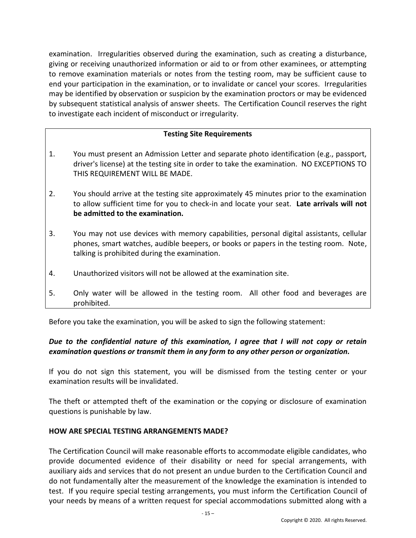examination. Irregularities observed during the examination, such as creating a disturbance, giving or receiving unauthorized information or aid to or from other examinees, or attempting to remove examination materials or notes from the testing room, may be sufficient cause to end your participation in the examination, or to invalidate or cancel your scores. Irregularities may be identified by observation or suspicion by the examination proctors or may be evidenced by subsequent statistical analysis of answer sheets. The Certification Council reserves the right to investigate each incident of misconduct or irregularity.

## **Testing Site Requirements**

- 1. You must present an Admission Letter and separate photo identification (e.g., passport, driver's license) at the testing site in order to take the examination. NO EXCEPTIONS TO THIS REQUIREMENT WILL BE MADE.
- 2. You should arrive at the testing site approximately 45 minutes prior to the examination to allow sufficient time for you to check-in and locate your seat. **Late arrivals will not be admitted to the examination.**
- 3. You may not use devices with memory capabilities, personal digital assistants, cellular phones, smart watches, audible beepers, or books or papers in the testing room. Note, talking is prohibited during the examination.
- 4. Unauthorized visitors will not be allowed at the examination site.
- 5. Only water will be allowed in the testing room. All other food and beverages are prohibited.

Before you take the examination, you will be asked to sign the following statement:

## *Due to the confidential nature of this examination, I agree that I will not copy or retain examination questions or transmit them in any form to any other person or organization.*

If you do not sign this statement, you will be dismissed from the testing center or your examination results will be invalidated.

The theft or attempted theft of the examination or the copying or disclosure of examination questions is punishable by law.

## **HOW ARE SPECIAL TESTING ARRANGEMENTS MADE?**

The Certification Council will make reasonable efforts to accommodate eligible candidates, who provide documented evidence of their disability or need for special arrangements, with auxiliary aids and services that do not present an undue burden to the Certification Council and do not fundamentally alter the measurement of the knowledge the examination is intended to test. If you require special testing arrangements, you must inform the Certification Council of your needs by means of a written request for special accommodations submitted along with a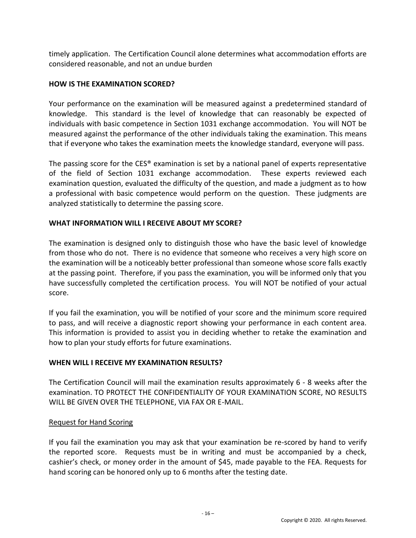timely application. The Certification Council alone determines what accommodation efforts are considered reasonable, and not an undue burden

## **HOW IS THE EXAMINATION SCORED?**

Your performance on the examination will be measured against a predetermined standard of knowledge. This standard is the level of knowledge that can reasonably be expected of individuals with basic competence in Section 1031 exchange accommodation. You will NOT be measured against the performance of the other individuals taking the examination. This means that if everyone who takes the examination meets the knowledge standard, everyone will pass.

The passing score for the CES® examination is set by a national panel of experts representative of the field of Section 1031 exchange accommodation. These experts reviewed each examination question, evaluated the difficulty of the question, and made a judgment as to how a professional with basic competence would perform on the question. These judgments are analyzed statistically to determine the passing score.

## **WHAT INFORMATION WILL I RECEIVE ABOUT MY SCORE?**

The examination is designed only to distinguish those who have the basic level of knowledge from those who do not. There is no evidence that someone who receives a very high score on the examination will be a noticeably better professional than someone whose score falls exactly at the passing point. Therefore, if you pass the examination, you will be informed only that you have successfully completed the certification process. You will NOT be notified of your actual score.

If you fail the examination, you will be notified of your score and the minimum score required to pass, and will receive a diagnostic report showing your performance in each content area. This information is provided to assist you in deciding whether to retake the examination and how to plan your study efforts for future examinations.

## **WHEN WILL I RECEIVE MY EXAMINATION RESULTS?**

The Certification Council will mail the examination results approximately 6 - 8 weeks after the examination. TO PROTECT THE CONFIDENTIALITY OF YOUR EXAMINATION SCORE, NO RESULTS WILL BE GIVEN OVER THE TELEPHONE, VIA FAX OR E-MAIL.

## Request for Hand Scoring

If you fail the examination you may ask that your examination be re-scored by hand to verify the reported score. Requests must be in writing and must be accompanied by a check, cashier's check, or money order in the amount of \$45, made payable to the FEA. Requests for hand scoring can be honored only up to 6 months after the testing date.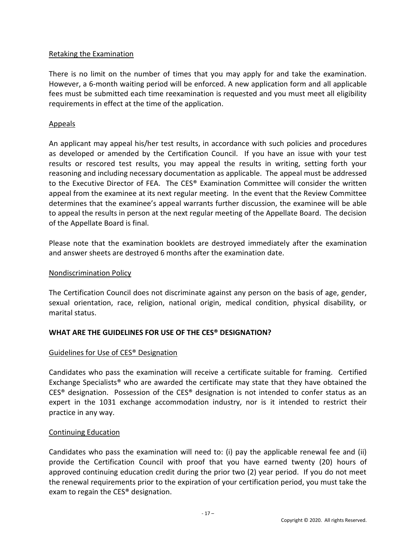## Retaking the Examination

There is no limit on the number of times that you may apply for and take the examination. However, a 6-month waiting period will be enforced. A new application form and all applicable fees must be submitted each time reexamination is requested and you must meet all eligibility requirements in effect at the time of the application.

## Appeals

An applicant may appeal his/her test results, in accordance with such policies and procedures as developed or amended by the Certification Council. If you have an issue with your test results or rescored test results, you may appeal the results in writing, setting forth your reasoning and including necessary documentation as applicable. The appeal must be addressed to the Executive Director of FEA. The CES® Examination Committee will consider the written appeal from the examinee at its next regular meeting. In the event that the Review Committee determines that the examinee's appeal warrants further discussion, the examinee will be able to appeal the results in person at the next regular meeting of the Appellate Board. The decision of the Appellate Board is final.

Please note that the examination booklets are destroyed immediately after the examination and answer sheets are destroyed 6 months after the examination date.

## Nondiscrimination Policy

The Certification Council does not discriminate against any person on the basis of age, gender, sexual orientation, race, religion, national origin, medical condition, physical disability, or marital status.

## **WHAT ARE THE GUIDELINES FOR USE OF THE CES® DESIGNATION?**

## Guidelines for Use of CES® Designation

Candidates who pass the examination will receive a certificate suitable for framing. Certified Exchange Specialists® who are awarded the certificate may state that they have obtained the CES® designation. Possession of the CES® designation is not intended to confer status as an expert in the 1031 exchange accommodation industry, nor is it intended to restrict their practice in any way.

## Continuing Education

Candidates who pass the examination will need to: (i) pay the applicable renewal fee and (ii) provide the Certification Council with proof that you have earned twenty (20) hours of approved continuing education credit during the prior two (2) year period. If you do not meet the renewal requirements prior to the expiration of your certification period, you must take the exam to regain the CES® designation.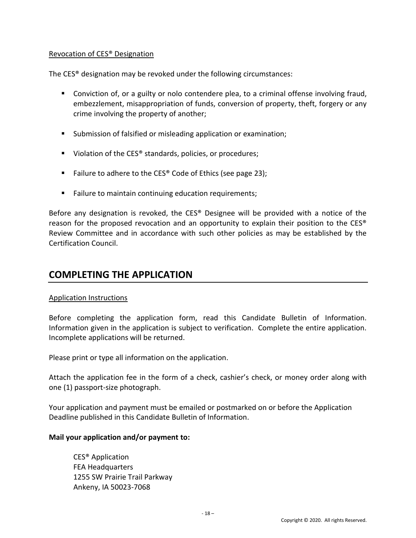## Revocation of CES® Designation

The CES® designation may be revoked under the following circumstances:

- Conviction of, or a guilty or nolo contendere plea, to a criminal offense involving fraud, embezzlement, misappropriation of funds, conversion of property, theft, forgery or any crime involving the property of another;
- Submission of falsified or misleading application or examination;
- Violation of the CES<sup>®</sup> standards, policies, or procedures;
- Failure to adhere to the CES<sup>®</sup> Code of Ethics (see page 23);
- Failure to maintain continuing education requirements;

Before any designation is revoked, the CES® Designee will be provided with a notice of the reason for the proposed revocation and an opportunity to explain their position to the CES® Review Committee and in accordance with such other policies as may be established by the Certification Council.

# **COMPLETING THE APPLICATION**

## Application Instructions

Before completing the application form, read this Candidate Bulletin of Information. Information given in the application is subject to verification. Complete the entire application. Incomplete applications will be returned.

Please print or type all information on the application.

Attach the application fee in the form of a check, cashier's check, or money order along with one (1) passport-size photograph.

Your application and payment must be emailed or postmarked on or before the Application Deadline published in this Candidate Bulletin of Information.

## **Mail your application and/or payment to:**

CES® Application FEA Headquarters 1255 SW Prairie Trail Parkway Ankeny, IA 50023-7068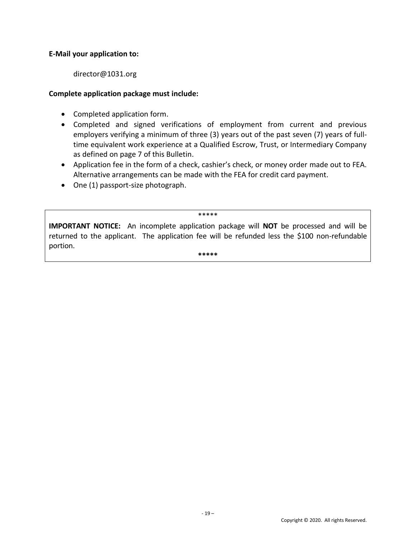## **E-Mail your application to:**

director@1031.org

## **Complete application package must include:**

- Completed application form.
- Completed and signed verifications of employment from current and previous employers verifying a minimum of three (3) years out of the past seven (7) years of fulltime equivalent work experience at a Qualified Escrow, Trust, or Intermediary Company as defined on page 7 of this Bulletin.
- Application fee in the form of a check, cashier's check, or money order made out to FEA. Alternative arrangements can be made with the FEA for credit card payment.
- One (1) passport-size photograph.

\*\*\*\*\*

**IMPORTANT NOTICE:** An incomplete application package will **NOT** be processed and will be returned to the applicant. The application fee will be refunded less the \$100 non-refundable portion.

**\*\*\*\*\***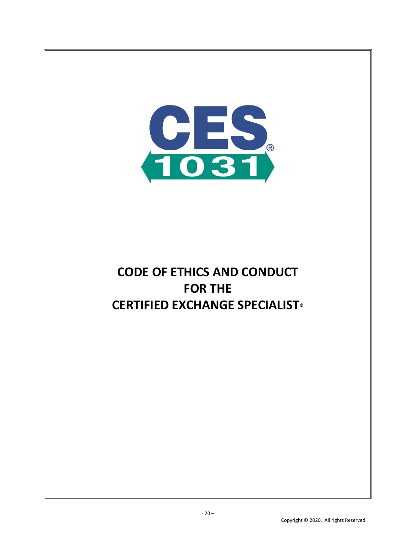

# **CODE OF ETHICS AND CONDUCT FOR THE CERTIFIED EXCHANGE SPECIALIST®**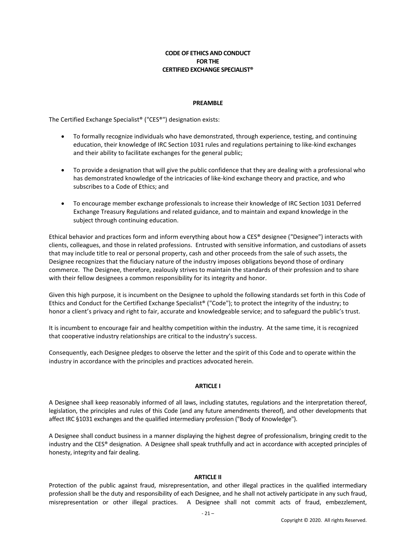#### **CODE OF ETHICS AND CONDUCT FOR THE CERTIFIED EXCHANGE SPECIALIST®**

#### **PREAMBLE**

The Certified Exchange Specialist® ("CES®") designation exists:

- To formally recognize individuals who have demonstrated, through experience, testing, and continuing education, their knowledge of IRC Section 1031 rules and regulations pertaining to like-kind exchanges and their ability to facilitate exchanges for the general public;
- To provide a designation that will give the public confidence that they are dealing with a professional who has demonstrated knowledge of the intricacies of like-kind exchange theory and practice, and who subscribes to a Code of Ethics; and
- To encourage member exchange professionals to increase their knowledge of IRC Section 1031 Deferred Exchange Treasury Regulations and related guidance, and to maintain and expand knowledge in the subject through continuing education.

Ethical behavior and practices form and inform everything about how a CES® designee ("Designee") interacts with clients, colleagues, and those in related professions. Entrusted with sensitive information, and custodians of assets that may include title to real or personal property, cash and other proceeds from the sale of such assets, the Designee recognizes that the fiduciary nature of the industry imposes obligations beyond those of ordinary commerce. The Designee, therefore, zealously strives to maintain the standards of their profession and to share with their fellow designees a common responsibility for its integrity and honor.

Given this high purpose, it is incumbent on the Designee to uphold the following standards set forth in this Code of Ethics and Conduct for the Certified Exchange Specialist® ("Code"); to protect the integrity of the industry; to honor a client's privacy and right to fair, accurate and knowledgeable service; and to safeguard the public's trust.

It is incumbent to encourage fair and healthy competition within the industry. At the same time, it is recognized that cooperative industry relationships are critical to the industry's success.

Consequently, each Designee pledges to observe the letter and the spirit of this Code and to operate within the industry in accordance with the principles and practices advocated herein.

#### **ARTICLE I**

A Designee shall keep reasonably informed of all laws, including statutes, regulations and the interpretation thereof, legislation, the principles and rules of this Code (and any future amendments thereof), and other developments that affect IRC §1031 exchanges and the qualified intermediary profession ("Body of Knowledge").

A Designee shall conduct business in a manner displaying the highest degree of professionalism, bringing credit to the industry and the CES® designation. A Designee shall speak truthfully and act in accordance with accepted principles of honesty, integrity and fair dealing.

#### **ARTICLE II**

Protection of the public against fraud, misrepresentation, and other illegal practices in the qualified intermediary profession shall be the duty and responsibility of each Designee, and he shall not actively participate in any such fraud, misrepresentation or other illegal practices. A Designee shall not commit acts of fraud, embezzlement,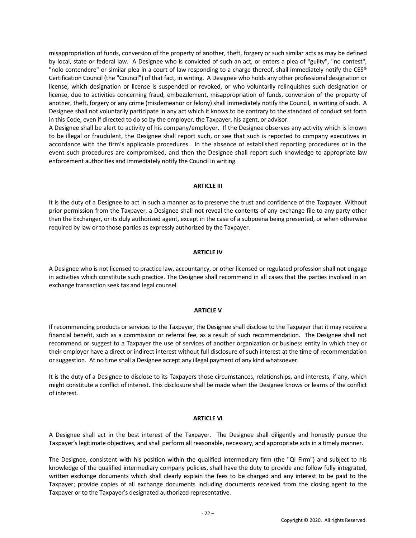misappropriation of funds, conversion of the property of another, theft, forgery or such similar acts as may be defined by local, state or federal law. A Designee who is convicted of such an act, or enters a plea of "guilty", "no contest", "nolo contendere" or similar plea in a court of law responding to a charge thereof, shall immediately notify the CES® Certification Council (the "Council") of that fact, in writing. A Designee who holds any other professional designation or license, which designation or license is suspended or revoked, or who voluntarily relinquishes such designation or license, due to activities concerning fraud, embezzlement, misappropriation of funds, conversion of the property of another, theft, forgery or any crime (misdemeanor or felony) shall immediately notify the Council, in writing of such. A Designee shall not voluntarily participate in any act which it knows to be contrary to the standard of conduct set forth in this Code, even if directed to do so by the employer, the Taxpayer, his agent, or advisor.

A Designee shall be alert to activity of his company/employer. If the Designee observes any activity which is known to be illegal or fraudulent, the Designee shall report such, or see that such is reported to company executives in accordance with the firm's applicable procedures. In the absence of established reporting procedures or in the event such procedures are compromised, and then the Designee shall report such knowledge to appropriate law enforcement authorities and immediately notify the Council in writing.

#### **ARTICLE III**

It is the duty of a Designee to act in such a manner as to preserve the trust and confidence of the Taxpayer. Without prior permission from the Taxpayer, a Designee shall not reveal the contents of any exchange file to any party other than the Exchanger, or its duly authorized agent, except in the case of a subpoena being presented, or when otherwise required by law or to those parties as expressly authorized by the Taxpayer.

#### **ARTICLE IV**

A Designee who is not licensed to practice law, accountancy, or other licensed or regulated profession shall not engage in activities which constitute such practice. The Designee shall recommend in all cases that the parties involved in an exchange transaction seek tax and legal counsel.

#### **ARTICLE V**

If recommending products or services to the Taxpayer, the Designee shall disclose to the Taxpayer that it may receive a financial benefit, such as a commission or referral fee, as a result of such recommendation. The Designee shall not recommend or suggest to a Taxpayer the use of services of another organization or business entity in which they or their employer have a direct or indirect interest without full disclosure of such interest at the time of recommendation or suggestion. At no time shall a Designee accept any illegal payment of any kind whatsoever.

It is the duty of a Designee to disclose to its Taxpayers those circumstances, relationships, and interests, if any, which might constitute a conflict of interest. This disclosure shall be made when the Designee knows or learns of the conflict of interest.

#### **ARTICLE VI**

A Designee shall act in the best interest of the Taxpayer. The Designee shall diligently and honestly pursue the Taxpayer's legitimate objectives, and shall perform all reasonable, necessary, and appropriate acts in a timely manner.

The Designee, consistent with his position within the qualified intermediary firm (the "QI Firm") and subject to his knowledge of the qualified intermediary company policies, shall have the duty to provide and follow fully integrated, written exchange documents which shall clearly explain the fees to be charged and any interest to be paid to the Taxpayer; provide copies of all exchange documents including documents received from the closing agent to the Taxpayer or to the Taxpayer's designated authorized representative.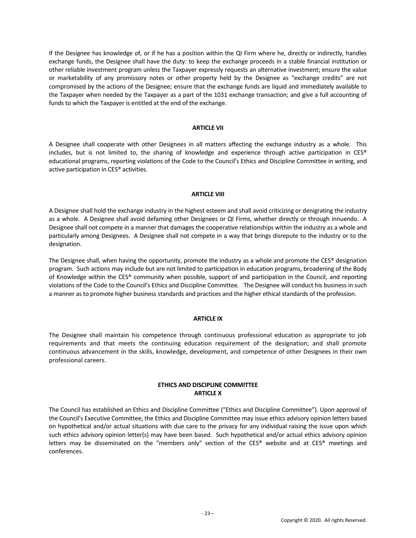If the Designee has knowledge of, or if he has a position within the QI Firm where he, directly or indirectly, handles exchange funds, the Designee shall have the duty: to keep the exchange proceeds in a stable financial institution or other reliable investment program unless the Taxpayer expressly requests an alternative investment; ensure the value or marketability of any promissory notes or other property held by the Designee as "exchange credits" are not compromised by the actions of the Designee; ensure that the exchange funds are liquid and immediately available to the Taxpayer when needed by the Taxpayer as a part of the 1031 exchange transaction; and give a full accounting of funds to which the Taxpayer is entitled at the end of the exchange.

#### **ARTICLE VII**

A Designee shall cooperate with other Designees in all matters affecting the exchange industry as a whole. This includes, but is not limited to, the sharing of knowledge and experience through active participation in CES® educational programs, reporting violations of the Code to the Council's Ethics and Discipline Committee in writing, and active participation in CES® activities.

#### **ARTICLE VIII**

A Designee shall hold the exchange industry in the highest esteem and shall avoid criticizing or denigrating the industry as a whole. A Designee shall avoid defaming other Designees or QI Firms, whether directly or through innuendo. A Designee shall not compete in a manner that damages the cooperative relationships within the industry as a whole and particularly among Designees. A Designee shall not compete in a way that brings disrepute to the industry or to the designation.

The Designee shall, when having the opportunity, promote the industry as a whole and promote the CES® designation program. Such actions may include but are not limited to participation in education programs, broadening of the Body of Knowledge within the CES® community when possible, support of and participation in the Council, and reporting violations of the Code to the Council's Ethics and Discipline Committee. The Designee will conduct his business in such a manner as to promote higher business standards and practices and the higher ethical standards of the profession.

#### **ARTICLE IX**

The Designee shall maintain his competence through continuous professional education as appropriate to job requirements and that meets the continuing education requirement of the designation; and shall promote continuous advancement in the skills, knowledge, development, and competence of other Designees in their own professional careers.

#### **ETHICS AND DISCIPLINE COMMITTEE ARTICLE X**

The Council has established an Ethics and Discipline Committee ("Ethics and Discipline Committee"). Upon approval of the Council's Executive Committee, the Ethics and Discipline Committee may issue ethics advisory opinion letters based on hypothetical and/or actual situations with due care to the privacy for any individual raising the issue upon which such ethics advisory opinion letter(s) may have been based. Such hypothetical and/or actual ethics advisory opinion letters may be disseminated on the "members only" section of the CES® website and at CES® meetings and conferences.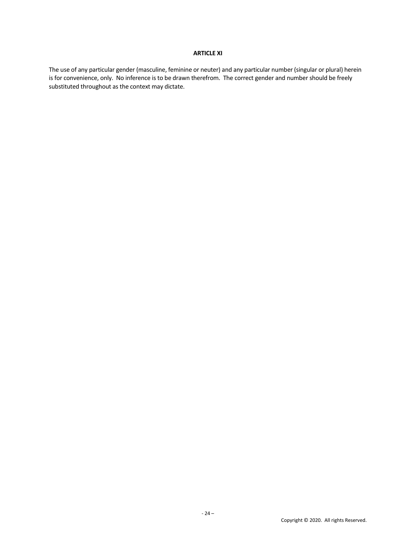#### **ARTICLE XI**

The use of any particular gender (masculine, feminine or neuter) and any particular number (singular or plural) herein is for convenience, only. No inference is to be drawn therefrom. The correct gender and number should be freely substituted throughout as the context may dictate.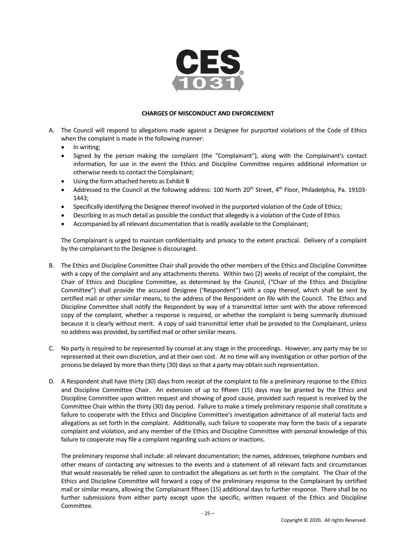

#### **CHARGES OF MISCONDUCT AND ENFORCEMENT**

- A. The Council will respond to allegations made against a Designee for purported violations of the Code of Ethics when the complaint is made in the following manner:
	- In writing;
	- Signed by the person making the complaint (the "Complainant"), along with the Complainant's contact information, for use in the event the Ethics and Discipline Committee requires additional information or otherwise needs to contact the Complainant;
	- Using the form attached hereto as Exhibit B
	- Addressed to the Council at the following address: 100 North 20<sup>th</sup> Street, 4<sup>th</sup> Floor, Philadelphia, Pa. 19103-1443;
	- Specifically identifying the Designee thereof involved in the purported violation of the Code of Ethics;
	- Describing in as much detail as possible the conduct that allegedly is a violation of the Code of Ethics
	- Accompanied by all relevant documentation that is readily available to the Complainant;

The Complainant is urged to maintain confidentiality and privacy to the extent practical. Delivery of a complaint by the complainant to the Designee is discouraged.

- B. The Ethics and Discipline Committee Chair shall provide the other members of the Ethics and Discipline Committee with a copy of the complaint and any attachments thereto. Within two (2) weeks of receipt of the complaint, the Chair of Ethics and Discipline Committee, as determined by the Council, ("Chair of the Ethics and Discipline Committee") shall provide the accused Designee ('Respondent") with a copy thereof, which shall be sent by certified mail or other similar means, to the address of the Respondent on file with the Council. The Ethics and Discipline Committee shall notify the Respondent by way of a transmittal letter sent with the above referenced copy of the complaint, whether a response is required, or whether the complaint is being summarily dismissed because it is clearly without merit. A copy of said transmittal letter shall be provided to the Complainant, unless no address was provided, by certified mail or other similar means.
- C. No party is required to be represented by counsel at any stage in the proceedings. However, any party may be so represented at their own discretion, and at their own cost. At no time will any investigation or other portion of the process be delayed by more than thirty (30) days so that a party may obtain such representation.
- D. A Respondent shall have thirty (30) days from receipt of the complaint to file a preliminary response to the Ethics and Discipline Committee Chair. An extension of up to fifteen (15) days may be granted by the Ethics and Discipline Committee upon written request and showing of good cause, provided such request is received by the Committee Chair within the thirty (30) day period. Failure to make a timely preliminary response shall constitute a failure to cooperate with the Ethics and Discipline Committee's investigation admittance of all material facts and allegations as set forth in the complaint. Additionally, such failure to cooperate may form the basis of a separate complaint and violation, and any member of the Ethics and Discipline Committee with personal knowledge of this failure to cooperate may file a complaint regarding such actions or inactions.

The preliminary response shall include: all relevant documentation; the names, addresses, telephone numbers and other means of contacting any witnesses to the events and a statement of all relevant facts and circumstances that would reasonably be relied upon to contradict the allegations as set forth in the complaint. The Chair of the Ethics and Discipline Committee will forward a copy of the preliminary response to the Complainant by certified mail or similar means, allowing the Complainant fifteen (15) additional days to further response. There shall be no further submissions from either party except upon the specific, written request of the Ethics and Discipline Committee.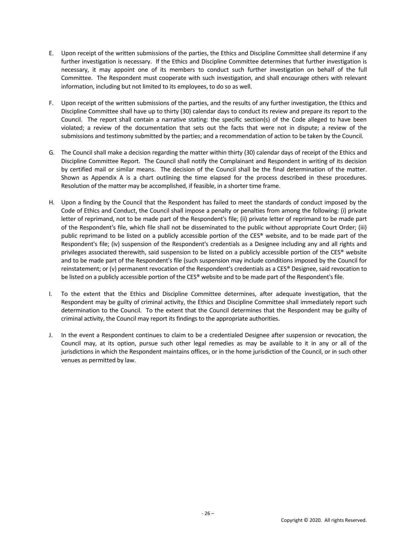- E. Upon receipt of the written submissions of the parties, the Ethics and Discipline Committee shall determine if any further investigation is necessary. If the Ethics and Discipline Committee determines that further investigation is necessary, it may appoint one of its members to conduct such further investigation on behalf of the full Committee. The Respondent must cooperate with such investigation, and shall encourage others with relevant information, including but not limited to its employees, to do so as well.
- F. Upon receipt of the written submissions of the parties, and the results of any further investigation, the Ethics and Discipline Committee shall have up to thirty (30) calendar days to conduct its review and prepare its report to the Council. The report shall contain a narrative stating: the specific section(s) of the Code alleged to have been violated; a review of the documentation that sets out the facts that were not in dispute; a review of the submissions and testimony submitted by the parties; and a recommendation of action to be taken by the Council.
- G. The Council shall make a decision regarding the matter within thirty (30) calendar days of receipt of the Ethics and Discipline Committee Report. The Council shall notify the Complainant and Respondent in writing of its decision by certified mail or similar means. The decision of the Council shall be the final determination of the matter. Shown as Appendix A is a chart outlining the time elapsed for the process described in these procedures. Resolution of the matter may be accomplished, if feasible, in a shorter time frame.
- H. Upon a finding by the Council that the Respondent has failed to meet the standards of conduct imposed by the Code of Ethics and Conduct, the Council shall impose a penalty or penalties from among the following: (i) private letter of reprimand, not to be made part of the Respondent's file; (ii) private letter of reprimand to be made part of the Respondent's file, which file shall not be disseminated to the public without appropriate Court Order; (iii) public reprimand to be listed on a publicly accessible portion of the CES® website, and to be made part of the Respondent's file; (iv) suspension of the Respondent's credentials as a Designee including any and all rights and privileges associated therewith, said suspension to be listed on a publicly accessible portion of the CES® website and to be made part of the Respondent's file (such suspension may include conditions imposed by the Council for reinstatement; or (v) permanent revocation of the Respondent's credentials as a CES® Designee, said revocation to be listed on a publicly accessible portion of the CES® website and to be made part of the Respondent's file.
- I. To the extent that the Ethics and Discipline Committee determines, after adequate investigation, that the Respondent may be guilty of criminal activity, the Ethics and Discipline Committee shall immediately report such determination to the Council. To the extent that the Council determines that the Respondent may be guilty of criminal activity, the Council may report its findings to the appropriate authorities.
- J. In the event a Respondent continues to claim to be a credentialed Designee after suspension or revocation, the Council may, at its option, pursue such other legal remedies as may be available to it in any or all of the jurisdictions in which the Respondent maintains offices, or in the home jurisdiction of the Council, or in such other venues as permitted by law.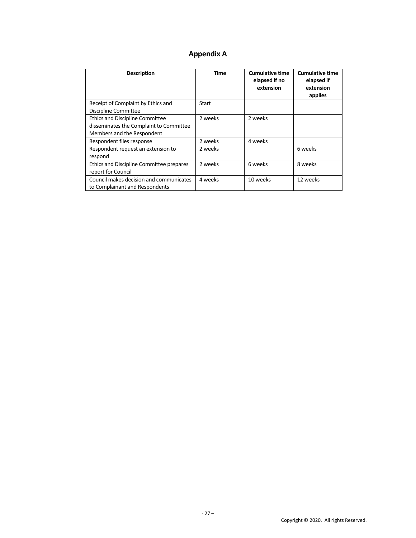# **Appendix A**

| <b>Description</b>                       | Time    | <b>Cumulative time</b><br>elapsed if no<br>extension | <b>Cumulative time</b><br>elapsed if<br>extension<br>applies |
|------------------------------------------|---------|------------------------------------------------------|--------------------------------------------------------------|
| Receipt of Complaint by Ethics and       | Start   |                                                      |                                                              |
| Discipline Committee                     |         |                                                      |                                                              |
| <b>Ethics and Discipline Committee</b>   | 2 weeks | 2 weeks                                              |                                                              |
| disseminates the Complaint to Committee  |         |                                                      |                                                              |
| Members and the Respondent               |         |                                                      |                                                              |
| Respondent files response                | 2 weeks | 4 weeks                                              |                                                              |
| Respondent request an extension to       | 2 weeks |                                                      | 6 weeks                                                      |
| respond                                  |         |                                                      |                                                              |
| Ethics and Discipline Committee prepares | 2 weeks | 6 weeks                                              | 8 weeks                                                      |
| report for Council                       |         |                                                      |                                                              |
| Council makes decision and communicates  | 4 weeks | 10 weeks                                             | 12 weeks                                                     |
| to Complainant and Respondents           |         |                                                      |                                                              |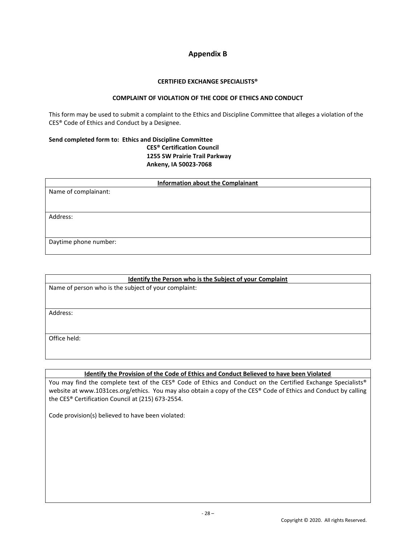## **Appendix B**

#### **CERTIFIED EXCHANGE SPECIALISTS®**

#### **COMPLAINT OF VIOLATION OF THE CODE OF ETHICS AND CONDUCT**

This form may be used to submit a complaint to the Ethics and Discipline Committee that alleges a violation of the CES® Code of Ethics and Conduct by a Designee.

#### **Send completed form to: Ethics and Discipline Committee CES® Certification Council 1255 SW Prairie Trail Parkway Ankeny, IA 50023-7068**

| <b>Information about the Complainant</b> |  |  |
|------------------------------------------|--|--|
| Name of complainant:                     |  |  |
|                                          |  |  |
|                                          |  |  |
| Address:                                 |  |  |
|                                          |  |  |
|                                          |  |  |
| Daytime phone number:                    |  |  |
|                                          |  |  |

| Identify the Person who is the Subject of your Complaint |  |  |
|----------------------------------------------------------|--|--|
| Name of person who is the subject of your complaint:     |  |  |
|                                                          |  |  |
| Address:                                                 |  |  |
|                                                          |  |  |
|                                                          |  |  |
| Office held:                                             |  |  |
|                                                          |  |  |

#### **Identify the Provision of the Code of Ethics and Conduct Believed to have been Violated**

You may find the complete text of the CES® Code of Ethics and Conduct on the Certified Exchange Specialists® website at www.1031ces.org/ethics. You may also obtain a copy of the CES® Code of Ethics and Conduct by calling the CES® Certification Council at (215) 673-2554.

Code provision(s) believed to have been violated: